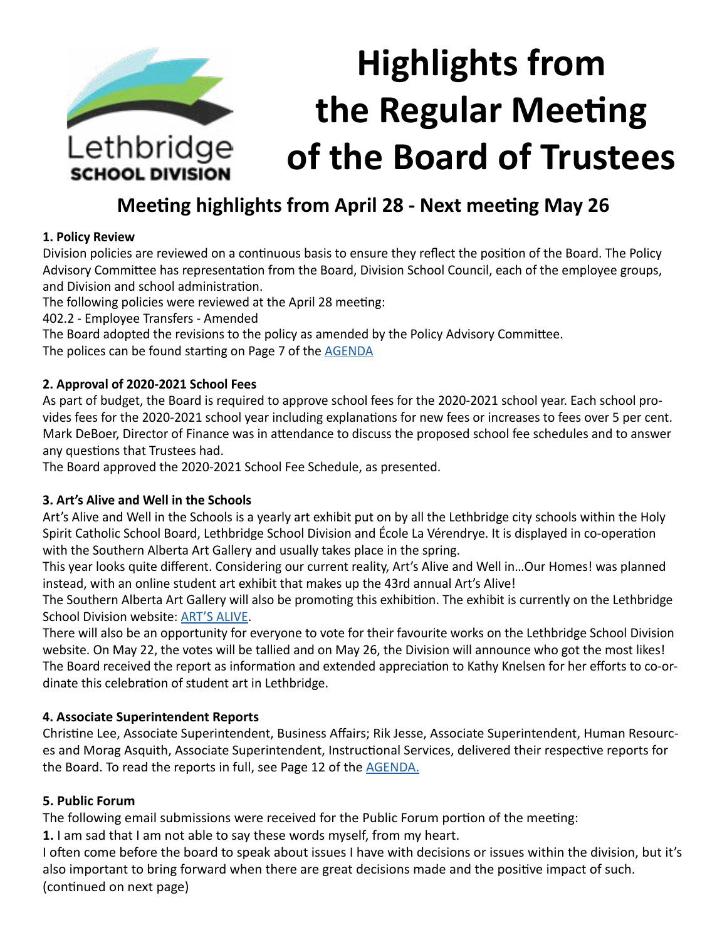

# **Meeting highlights from April 28 - Next meeting May 26**

#### **1. Policy Review**

Division policies are reviewed on a continuous basis to ensure they reflect the position of the Board. The Policy Advisory Committee has representation from the Board, Division School Council, each of the employee groups, and Division and school administration.

The following policies were reviewed at the April 28 meeting:

402.2 - Employee Transfers - Amended

The Board adopted the revisions to the policy as amended by the Policy Advisory Committee. The polices can be found starting on Page 7 of the [AGENDA](https://www.lethsd.ab.ca/download/260549)

#### **2. Approval of 2020-2021 School Fees**

As part of budget, the Board is required to approve school fees for the 2020-2021 school year. Each school provides fees for the 2020-2021 school year including explanations for new fees or increases to fees over 5 per cent. Mark DeBoer, Director of Finance was in attendance to discuss the proposed school fee schedules and to answer any questions that Trustees had.

The Board approved the 2020-2021 School Fee Schedule, as presented.

# **3. Art's Alive and Well in the Schools**

Art's Alive and Well in the Schools is a yearly art exhibit put on by all the Lethbridge city schools within the Holy Spirit Catholic School Board, Lethbridge School Division and École La Vérendrye. It is displayed in co-operation with the Southern Alberta Art Gallery and usually takes place in the spring.

This year looks quite different. Considering our current reality, Art's Alive and Well in…Our Homes! was planned instead, with an online student art exhibit that makes up the 43rd annual Art's Alive!

The Southern Alberta Art Gallery will also be promoting this exhibition. The exhibit is currently on the Lethbridge School Division website: [ART'S ALIVE](https://www.lethsd.ab.ca/departments/instructional-services/arts-alive-and-well-in-our-homes).

There will also be an opportunity for everyone to vote for their favourite works on the Lethbridge School Division website. On May 22, the votes will be tallied and on May 26, the Division will announce who got the most likes! The Board received the report as information and extended appreciation to Kathy Knelsen for her efforts to co-ordinate this celebration of student art in Lethbridge.

# **4. Associate Superintendent Reports**

Christine Lee, Associate Superintendent, Business Affairs; Rik Jesse, Associate Superintendent, Human Resources and Morag Asquith, Associate Superintendent, Instructional Services, delivered their respective reports for the Board. To read the reports in full, see Page 12 of the [AGENDA](https://www.lethsd.ab.ca/download/260549).

# **5. Public Forum**

The following email submissions were received for the Public Forum portion of the meeting:

**1.** I am sad that I am not able to say these words myself, from my heart.

I often come before the board to speak about issues I have with decisions or issues within the division, but it's also important to bring forward when there are great decisions made and the positive impact of such. (continued on next page)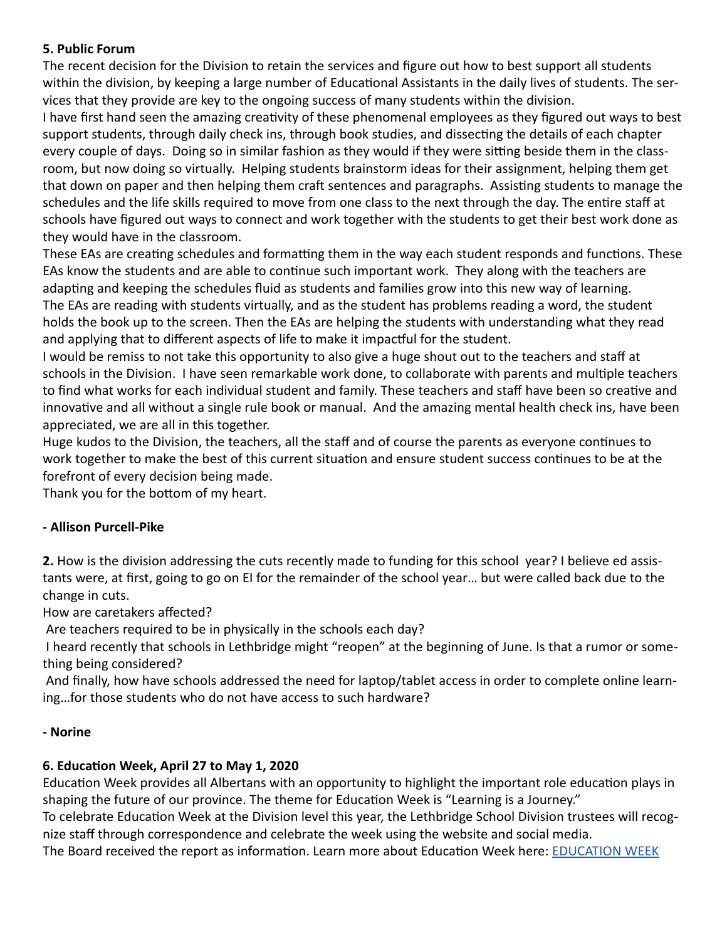# **5. Public Forum**

The recent decision for the Division to retain the services and figure out how to best support all students within the division, by keeping a large number of Educational Assistants in the daily lives of students. The services that they provide are key to the ongoing success of many students within the division.

I have first hand seen the amazing creativity of these phenomenal employees as they figured out ways to best support students, through daily check ins, through book studies, and dissecting the details of each chapter every couple of days. Doing so in similar fashion as they would if they were sitting beside them in the classroom, but now doing so virtually. Helping students brainstorm ideas for their assignment, helping them get that down on paper and then helping them craft sentences and paragraphs. Assisting students to manage the schedules and the life skills required to move from one class to the next through the day. The entire staff at schools have figured out ways to connect and work together with the students to get their best work done as they would have in the classroom.

These EAs are creating schedules and formatting them in the way each student responds and functions. These EAs know the students and are able to continue such important work. They along with the teachers are adapting and keeping the schedules fluid as students and families grow into this new way of learning. The EAs are reading with students virtually, and as the student has problems reading a word, the student holds the book up to the screen. Then the EAs are helping the students with understanding what they read and applying that to different aspects of life to make it impactful for the student.

I would be remiss to not take this opportunity to also give a huge shout out to the teachers and staff at schools in the Division. I have seen remarkable work done, to collaborate with parents and multiple teachers to find what works for each individual student and family. These teachers and staff have been so creative and innovative and all without a single rule book or manual. And the amazing mental health check ins, have been appreciated, we are all in this together.

Huge kudos to the Division, the teachers, all the staff and of course the parents as everyone continues to work together to make the best of this current situation and ensure student success continues to be at the forefront of every decision being made.

Thank you for the bottom of my heart.

# **- Allison Purcell-Pike**

**2.** How is the division addressing the cuts recently made to funding for this school year? I believe ed assistants were, at first, going to go on EI for the remainder of the school year… but were called back due to the change in cuts.

How are caretakers affected?

Are teachers required to be in physically in the schools each day?

 I heard recently that schools in Lethbridge might "reopen" at the beginning of June. Is that a rumor or something being considered?

 And finally, how have schools addressed the need for laptop/tablet access in order to complete online learning…for those students who do not have access to such hardware?

# **- Norine**

# **6. Education Week, April 27 to May 1, 2020**

Education Week provides all Albertans with an opportunity to highlight the important role education plays in shaping the future of our province. The theme for Education Week is "Learning is a Journey."

To celebrate Education Week at the Division level this year, the Lethbridge School Division trustees will recognize staff through correspondence and celebrate the week using the website and social media.

The Board received the report as information. Learn more about Education Week here: [EDUCATION WEEK](https://www.lethsd.ab.ca/our-district/news/post/celebrate-education-week-learning-is-a-journey)